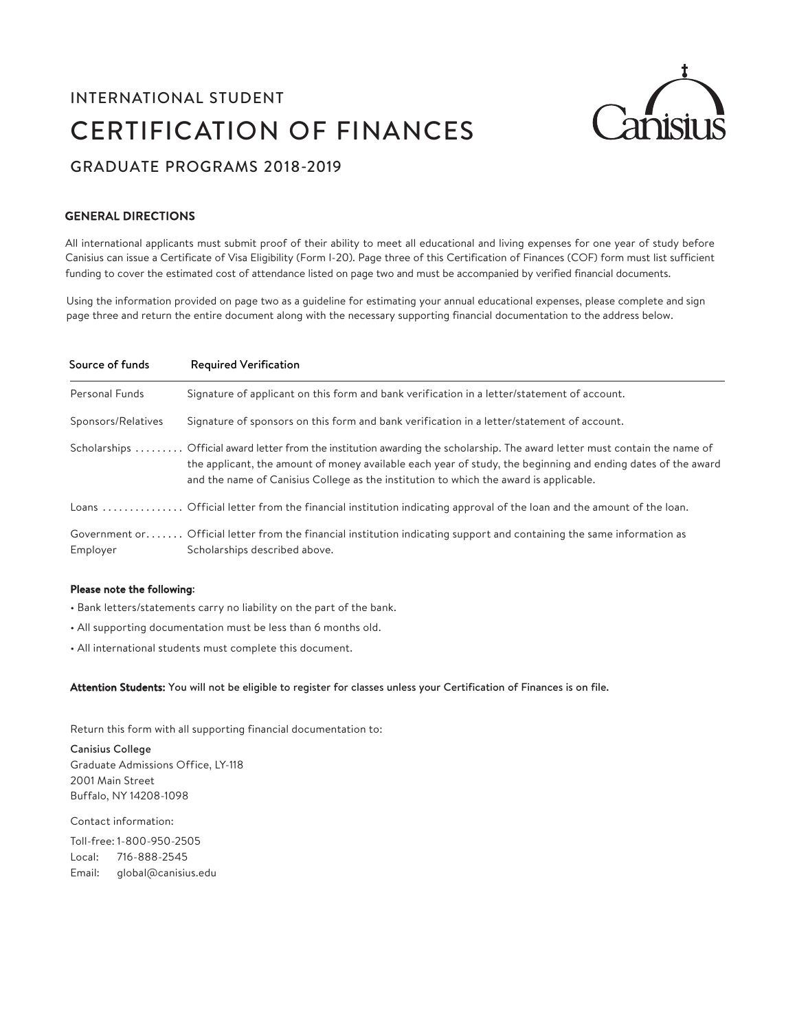## INTERNATIONAL STUDENT CERTIFICATION OF FINANCES



## GRADUATE PROGRAMS 2018-2019

#### GENERAL DIRECTIONS

All international applicants must submit proof of their ability to meet all educational and living expenses for one year of study before Canisius can issue a Certificate of Visa Eligibility (Form I-20). Page three of this Certification of Finances (COF) form must list sufficient funding to cover the estimated cost of attendance listed on page two and must be accompanied by verified financial documents.

Using the information provided on page two as a guideline for estimating your annual educational expenses, please complete and sign page three and return the entire document along with the necessary supporting financial documentation to the address below.

| Source of funds    | <b>Required Verification</b>                                                                                                                                                                                                                                                                                                          |
|--------------------|---------------------------------------------------------------------------------------------------------------------------------------------------------------------------------------------------------------------------------------------------------------------------------------------------------------------------------------|
| Personal Funds     | Signature of applicant on this form and bank verification in a letter/statement of account.                                                                                                                                                                                                                                           |
| Sponsors/Relatives | Signature of sponsors on this form and bank verification in a letter/statement of account.                                                                                                                                                                                                                                            |
|                    | Scholarships  Official award letter from the institution awarding the scholarship. The award letter must contain the name of<br>the applicant, the amount of money available each year of study, the beginning and ending dates of the award<br>and the name of Canisius College as the institution to which the award is applicable. |
|                    | Loans  Official letter from the financial institution indicating approval of the loan and the amount of the loan.                                                                                                                                                                                                                     |
| Employer           | Government or Official letter from the financial institution indicating support and containing the same information as<br>Scholarships described above.                                                                                                                                                                               |

#### Please note the following:

- Bank letters/statements carry no liability on the part of the bank.
- All supporting documentation must be less than 6 months old.
- All international students must complete this document.

#### Attention Students: You will not be eligible to register for classes unless your Certification of Finances is on file.

Return this form with all supporting financial documentation to:

Canisius College Graduate Admissions Office, LY-118 2001 Main Street Buffalo, NY 14208-1098

Contact information:

Toll-free: 1-800-950-2505 Local: 716-888-2545 Email: global@canisius.edu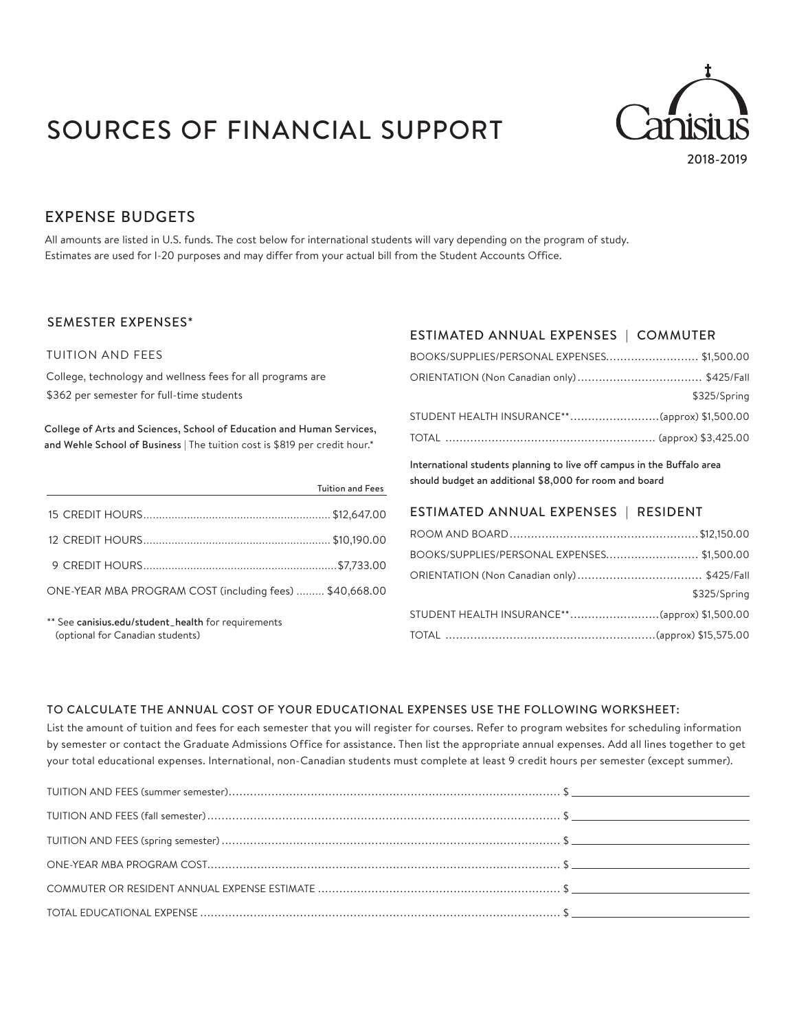# SOURCES OF FINANCIAL SUPPORT



2018-2019

### EXPENSE BUDGETS

All amounts are listed in U.S. funds. The cost below for international students will vary depending on the program of study. Estimates are used for I-20 purposes and may differ from your actual bill from the Student Accounts Office.

#### SEMESTER EXPENSES\*

#### TUITION AND FEES

College, technology and wellness fees for all programs are \$362 per semester for full-time students

College of Arts and Sciences, School of Education and Human Services, and Wehle School of Business | The tuition cost is \$819 per credit hour.\*

|                                                         | <b>Tuition and Fees</b> |
|---------------------------------------------------------|-------------------------|
|                                                         |                         |
|                                                         |                         |
|                                                         |                         |
| ONE-YEAR MBA PROGRAM COST (including fees)  \$40,668.00 |                         |
|                                                         |                         |

\*\* See canisius.edu/student\_health for requirements (optional for Canadian students)

### ESTIMATED ANNUAL EXPENSES | COMMUTER

| BOOKS/SUPPLIES/PERSONAL EXPENSES\$1,500.00 |              |
|--------------------------------------------|--------------|
|                                            |              |
|                                            | \$325/Spring |
|                                            |              |
|                                            |              |

International students planning to live off campus in the Buffalo area should budget an additional \$8,000 for room and board

#### ESTIMATED ANNUAL EXPENSES | RESIDENT

| BOOKS/SUPPLIES/PERSONAL EXPENSES\$1,500.00    |              |
|-----------------------------------------------|--------------|
|                                               |              |
|                                               | \$325/Spring |
| STUDENT HEALTH INSURANCE**(approx) \$1,500.00 |              |
|                                               |              |

#### TO CALCULATE THE ANNUAL COST OF YOUR EDUCATIONAL EXPENSES USE THE FOLLOWING WORKSHEET:

List the amount of tuition and fees for each semester that you will register for courses. Refer to program websites for scheduling information by semester or contact the Graduate Admissions Office for assistance. Then list the appropriate annual expenses. Add all lines together to get your total educational expenses. International, non-Canadian students must complete at least 9 credit hours per semester (except summer).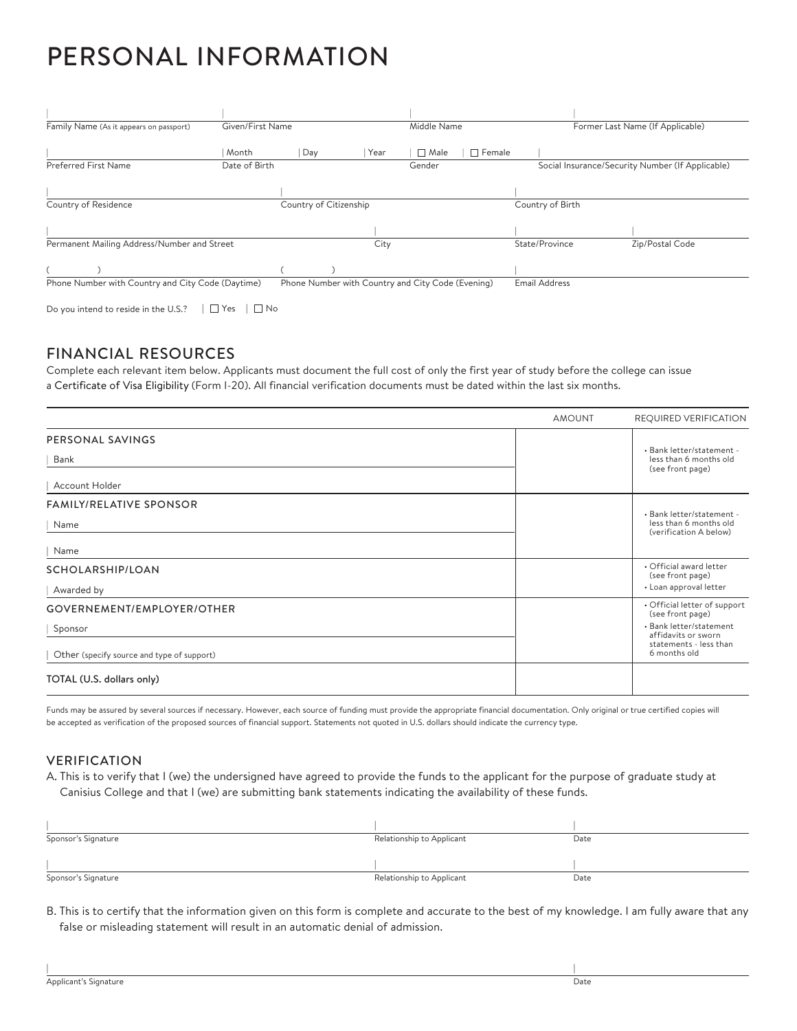## PERSONAL INFORMATION

| Family Name (As it appears on passport)           | Given/First Name |                        |      | Middle Name                                       |                      | Former Last Name (If Applicable)                 |  |
|---------------------------------------------------|------------------|------------------------|------|---------------------------------------------------|----------------------|--------------------------------------------------|--|
|                                                   | Month            | Day                    | Year | $\sqcap$ Male                                     | Female               |                                                  |  |
| Preferred First Name                              | Date of Birth    |                        |      | Gender                                            |                      | Social Insurance/Security Number (If Applicable) |  |
|                                                   |                  |                        |      |                                                   |                      |                                                  |  |
| Country of Residence                              |                  | Country of Citizenship |      |                                                   | Country of Birth     |                                                  |  |
|                                                   |                  |                        |      |                                                   |                      |                                                  |  |
| Permanent Mailing Address/Number and Street       |                  |                        | City |                                                   | State/Province       | Zip/Postal Code                                  |  |
|                                                   |                  |                        |      |                                                   |                      |                                                  |  |
| Phone Number with Country and City Code (Daytime) |                  |                        |      | Phone Number with Country and City Code (Evening) | <b>Email Address</b> |                                                  |  |

Do you intend to reside in the U.S.?  $|\Box$  Yes  $|\Box$  No

### FINANCIAL RESOURCES

Complete each relevant item below. Applicants must document the full cost of only the first year of study before the college can issue a Certificate of Visa Eligibility (Form I-20). All financial verification documents must be dated within the last six months.

|                                            | <b>AMOUNT</b> | <b>REQUIRED VERIFICATION</b>                                            |  |
|--------------------------------------------|---------------|-------------------------------------------------------------------------|--|
| PERSONAL SAVINGS                           |               |                                                                         |  |
| Bank                                       |               | · Bank letter/statement -<br>less than 6 months old<br>(see front page) |  |
| Account Holder                             |               |                                                                         |  |
| <b>FAMILY/RELATIVE SPONSOR</b>             |               | · Bank letter/statement -                                               |  |
| Name                                       |               | less than 6 months old<br>(verification A below)                        |  |
| Name                                       |               |                                                                         |  |
| SCHOLARSHIP/LOAN                           |               | • Official award letter<br>(see front page)                             |  |
| Awarded by                                 |               | • Loan approval letter                                                  |  |
| GOVERNEMENT/EMPLOYER/OTHER                 |               | • Official letter of support<br>(see front page)                        |  |
| Sponsor                                    |               | • Bank letter/statement<br>affidavits or sworn                          |  |
| Other (specify source and type of support) |               | statements - less than<br>6 months old                                  |  |
| TOTAL (U.S. dollars only)                  |               |                                                                         |  |

Funds may be assured by several sources if necessary. However, each source of funding must provide the appropriate financial documentation. Only original or true certified copies will be accepted as verification of the proposed sources of financial support. Statements not quoted in U.S. dollars should indicate the currency type.

#### VERIFICATION

A. This is to verify that I (we) the undersigned have agreed to provide the funds to the applicant for the purpose of graduate study at Canisius College and that I (we) are submitting bank statements indicating the availability of these funds.

| Sponsor's Signature | Relationship to Applicant | Date |
|---------------------|---------------------------|------|
|                     |                           |      |
| Sponsor's Signature | Relationship to Applicant | Date |

B. This is to certify that the information given on this form is complete and accurate to the best of my knowledge. I am fully aware that any false or misleading statement will result in an automatic denial of admission.